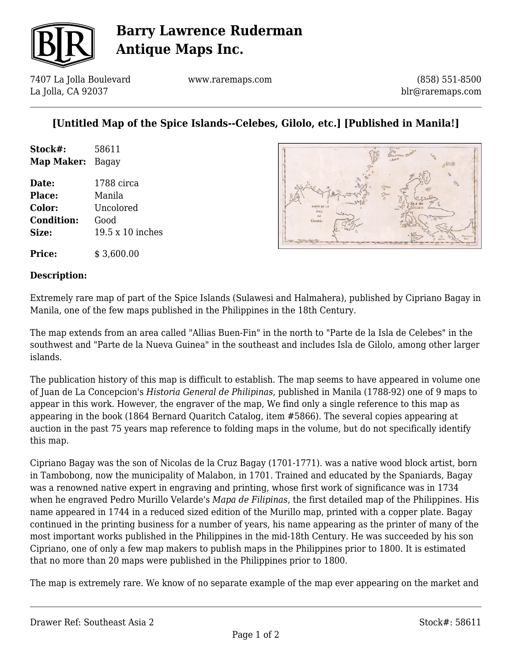

# **Barry Lawrence Ruderman Antique Maps Inc.**

7407 La Jolla Boulevard La Jolla, CA 92037

www.raremaps.com

(858) 551-8500 blr@raremaps.com

## **[Untitled Map of the Spice Islands--Celebes, Gilolo, etc.] [Published in Manila!]**

| Stock#:    | 58611 |
|------------|-------|
| Map Maker: | Bagay |

**Date:** 1788 circa **Place:** Manila **Color:** Uncolored **Condition:** Good **Size:** 19.5 x 10 inches



**Price:** \$ 3,600.00

### **Description:**

Extremely rare map of part of the Spice Islands (Sulawesi and Halmahera), published by Cipriano Bagay in Manila, one of the few maps published in the Philippines in the 18th Century.

The map extends from an area called "Allias Buen-Fin" in the north to "Parte de la Isla de Celebes" in the southwest and "Parte de la Nueva Guinea" in the southeast and includes Isla de Gilolo, among other larger islands.

The publication history of this map is difficult to establish. The map seems to have appeared in volume one of Juan de La Concepcion's *Historia General de Philipinas,* published in Manila (1788-92) one of 9 maps to appear in this work. However, the engraver of the map, We find only a single reference to this map as appearing in the book (1864 Bernard Quaritch Catalog, item #5866). The several copies appearing at auction in the past 75 years map reference to folding maps in the volume, but do not specifically identify this map.

Cipriano Bagay was the son of Nicolas de la Cruz Bagay (1701-1771). was a native wood block artist, born in Tambobong, now the municipality of Malabon, in 1701. Trained and educated by the Spaniards, Bagay was a renowned native expert in engraving and printing, whose first work of significance was in 1734 when he engraved Pedro Murillo Velarde's *Mapa de Filipinas*, the first detailed map of the Philippines. His name appeared in 1744 in a reduced sized edition of the Murillo map, printed with a copper plate. Bagay continued in the printing business for a number of years, his name appearing as the printer of many of the most important works published in the Philippines in the mid-18th Century. He was succeeded by his son Cipriano, one of only a few map makers to publish maps in the Philippines prior to 1800. It is estimated that no more than 20 maps were published in the Philippines prior to 1800.

The map is extremely rare. We know of no separate example of the map ever appearing on the market and